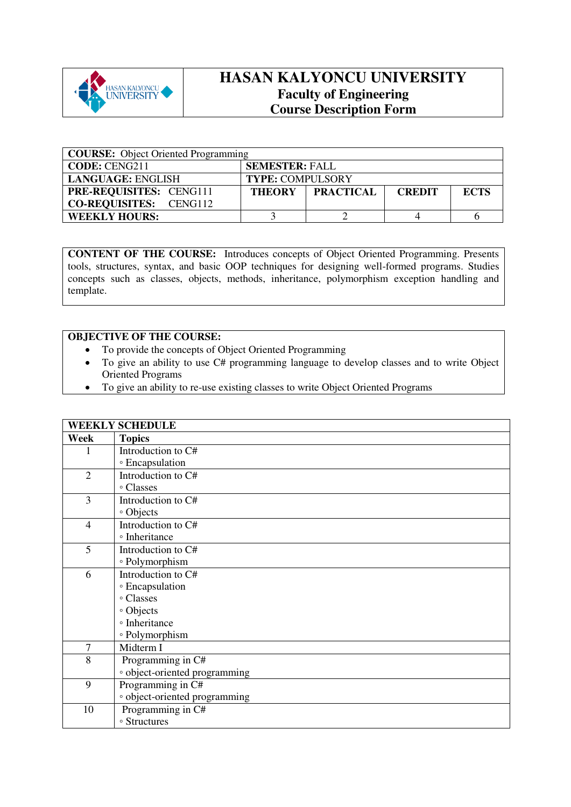

## **HASAN KALYONCU UNIVERSITY Faculty of Engineering Course Description Form**

| <b>COURSE:</b> Object Oriented Programming |                                                                   |  |  |  |  |
|--------------------------------------------|-------------------------------------------------------------------|--|--|--|--|
| <b>CODE: CENG211</b>                       | <b>SEMESTER: FALL</b>                                             |  |  |  |  |
| LANGUAGE: ENGLISH                          | <b>TYPE: COMPULSORY</b>                                           |  |  |  |  |
| <b>PRE-REQUISITES: CENG111</b>             | <b>PRACTICAL</b><br><b>ECTS</b><br><b>THEORY</b><br><b>CREDIT</b> |  |  |  |  |
| <b>CO-REQUISITES:</b> CENG112              |                                                                   |  |  |  |  |
| <b>WEEKLY HOURS:</b>                       |                                                                   |  |  |  |  |

**CONTENT OF THE COURSE:** Introduces concepts of Object Oriented Programming. Presents tools, structures, syntax, and basic OOP techniques for designing well-formed programs. Studies concepts such as classes, objects, methods, inheritance, polymorphism exception handling and template.

## **OBJECTIVE OF THE COURSE:**

- To provide the concepts of Object Oriented Programming
- To give an ability to use C# programming language to develop classes and to write Object Oriented Programs
- To give an ability to re-use existing classes to write Object Oriented Programs

|                | <b>WEEKLY SCHEDULE</b>                   |
|----------------|------------------------------------------|
| Week           | <b>Topics</b>                            |
|                | Introduction to C#                       |
|                | ∘ Encapsulation                          |
| $\overline{2}$ | Introduction to C#                       |
|                | ∘ Classes                                |
| 3              | Introduction to C#                       |
|                | • Objects                                |
| 4              | Introduction to C#                       |
|                | <sup>o</sup> Inheritance                 |
| 5              | Introduction to C#                       |
|                | ∘ Polymorphism                           |
| 6              | Introduction to C#                       |
|                | <b>Encapsulation</b>                     |
|                | ° Classes                                |
|                | · Objects                                |
|                | <sup>o</sup> Inheritance                 |
|                | ∘ Polymorphism                           |
| 7              | Midterm I                                |
| 8              | Programming in C#                        |
|                | <sup>o</sup> object-oriented programming |
| 9              | Programming in C#                        |
|                | · object-oriented programming            |
| 10             | Programming in C#                        |
|                | <sup>o</sup> Structures                  |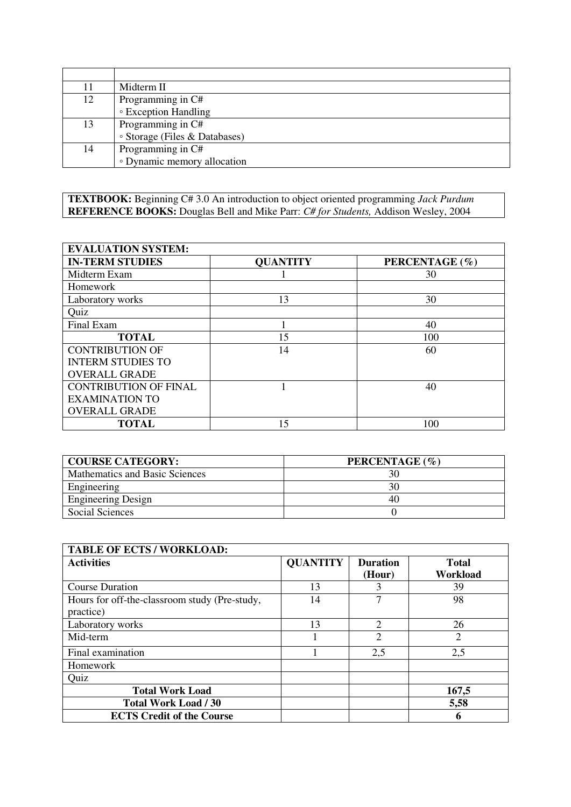| 11 | Midterm II                    |
|----|-------------------------------|
| 12 | Programming in C#             |
|    | ◦ Exception Handling          |
| 13 | Programming in C#             |
|    | • Storage (Files & Databases) |
| 14 | Programming in C#             |
|    | • Dynamic memory allocation   |

**TEXTBOOK:** Beginning C# 3.0 An introduction to object oriented programming *Jack Purdum* **REFERENCE BOOKS:** Douglas Bell and Mike Parr: *C# for Students,* Addison Wesley, 2004

| <b>EVALUATION SYSTEM:</b>    |                 |                |  |  |  |
|------------------------------|-----------------|----------------|--|--|--|
| <b>IN-TERM STUDIES</b>       | <b>QUANTITY</b> | PERCENTAGE (%) |  |  |  |
| Midterm Exam                 |                 | 30             |  |  |  |
| Homework                     |                 |                |  |  |  |
| Laboratory works             | 13              | 30             |  |  |  |
| Quiz                         |                 |                |  |  |  |
| Final Exam                   |                 | 40             |  |  |  |
| <b>TOTAL</b>                 | 15              | 100            |  |  |  |
| <b>CONTRIBUTION OF</b>       | 14              | 60             |  |  |  |
| <b>INTERM STUDIES TO</b>     |                 |                |  |  |  |
| <b>OVERALL GRADE</b>         |                 |                |  |  |  |
| <b>CONTRIBUTION OF FINAL</b> |                 | 40             |  |  |  |
| <b>EXAMINATION TO</b>        |                 |                |  |  |  |
| <b>OVERALL GRADE</b>         |                 |                |  |  |  |
| <b>TOTAL</b>                 | 15              | 100            |  |  |  |

| <b>COURSE CATEGORY:</b>        | PERCENTAGE (%) |
|--------------------------------|----------------|
| Mathematics and Basic Sciences | 30             |
| Engineering                    | 30             |
| <b>Engineering Design</b>      | 40             |
| Social Sciences                |                |

| <b>TABLE OF ECTS / WORKLOAD:</b>                           |                 |                           |                          |
|------------------------------------------------------------|-----------------|---------------------------|--------------------------|
| <b>Activities</b>                                          | <b>QUANTITY</b> | <b>Duration</b><br>(Hour) | <b>Total</b><br>Workload |
| <b>Course Duration</b>                                     | 13              |                           | 39                       |
| Hours for off-the-classroom study (Pre-study,<br>practice) | 14              | 7                         | 98                       |
| Laboratory works                                           | 13              | $\overline{2}$            | 26                       |
| Mid-term                                                   |                 | 2                         | $\overline{2}$           |
| Final examination                                          |                 | 2,5                       | 2,5                      |
| Homework                                                   |                 |                           |                          |
| Quiz                                                       |                 |                           |                          |
| <b>Total Work Load</b>                                     |                 |                           | 167,5                    |
| <b>Total Work Load / 30</b>                                |                 |                           | 5,58                     |
| <b>ECTS Credit of the Course</b>                           |                 |                           | 6                        |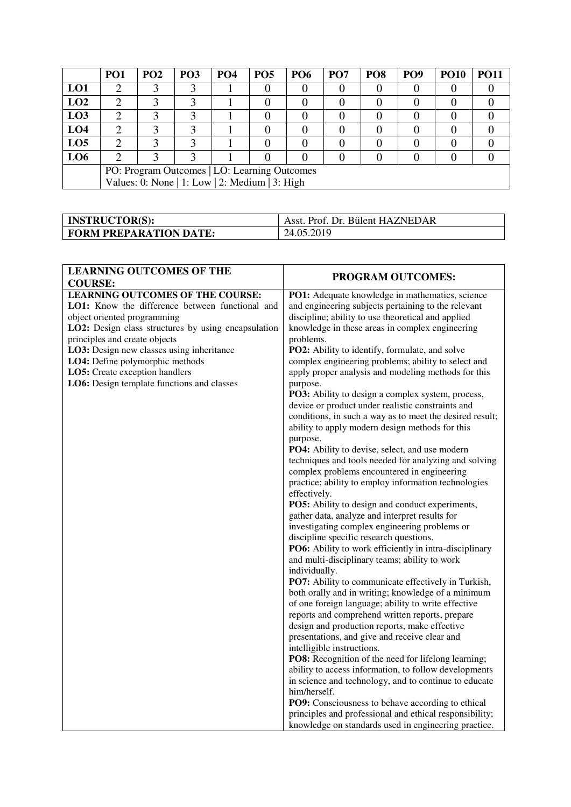|                                              | PO <sub>1</sub>                                | PO <sub>2</sub> | PO <sub>3</sub> | <b>PO4</b> | <b>PO5</b> | <b>PO6</b> | PO <sub>7</sub> | PO <sub>8</sub> | PO <sub>9</sub> | <b>PO10</b> | <b>PO11</b> |
|----------------------------------------------|------------------------------------------------|-----------------|-----------------|------------|------------|------------|-----------------|-----------------|-----------------|-------------|-------------|
| LO1                                          |                                                | 3               |                 |            |            |            |                 |                 |                 |             |             |
| LO2                                          |                                                | ⌒               |                 |            |            |            |                 |                 |                 |             |             |
| L <sub>03</sub>                              |                                                |                 |                 |            |            |            |                 |                 |                 |             |             |
| LO <sub>4</sub>                              |                                                | 2               |                 |            |            |            |                 |                 |                 |             |             |
| LO <sub>5</sub>                              | ◠                                              |                 |                 |            |            |            |                 |                 |                 |             |             |
| LO6                                          | ി                                              | 2               | 2               |            |            |            |                 |                 |                 |             |             |
| PO: Program Outcomes   LO: Learning Outcomes |                                                |                 |                 |            |            |            |                 |                 |                 |             |             |
|                                              | Values: 0: None   1: Low   2: Medium   3: High |                 |                 |            |            |            |                 |                 |                 |             |             |

| <b>INSTRUCTOR(S):</b>         | Asst. Prof. Dr. Bülent HAZNEDAR |
|-------------------------------|---------------------------------|
| <b>FORM PREPARATION DATE:</b> | 24.05.2019                      |

| <b>LEARNING OUTCOMES OF THE</b>                                                                                                                                                                                                                                                                                                                                                                     | PROGRAM OUTCOMES:                                                                                                                                                                                                                                                                                                                                                                                                                                                                                                                                                                                                                                                                                                                                                                                                                                                                                                                                                                                                                                                                                                                                                                                                                                                                                                                                                                                                                                                                                                                                                                                                                                                                                                                                                                                                        |
|-----------------------------------------------------------------------------------------------------------------------------------------------------------------------------------------------------------------------------------------------------------------------------------------------------------------------------------------------------------------------------------------------------|--------------------------------------------------------------------------------------------------------------------------------------------------------------------------------------------------------------------------------------------------------------------------------------------------------------------------------------------------------------------------------------------------------------------------------------------------------------------------------------------------------------------------------------------------------------------------------------------------------------------------------------------------------------------------------------------------------------------------------------------------------------------------------------------------------------------------------------------------------------------------------------------------------------------------------------------------------------------------------------------------------------------------------------------------------------------------------------------------------------------------------------------------------------------------------------------------------------------------------------------------------------------------------------------------------------------------------------------------------------------------------------------------------------------------------------------------------------------------------------------------------------------------------------------------------------------------------------------------------------------------------------------------------------------------------------------------------------------------------------------------------------------------------------------------------------------------|
|                                                                                                                                                                                                                                                                                                                                                                                                     |                                                                                                                                                                                                                                                                                                                                                                                                                                                                                                                                                                                                                                                                                                                                                                                                                                                                                                                                                                                                                                                                                                                                                                                                                                                                                                                                                                                                                                                                                                                                                                                                                                                                                                                                                                                                                          |
| <b>COURSE:</b><br><b>LEARNING OUTCOMES OF THE COURSE:</b><br>LO1: Know the difference between functional and<br>object oriented programming<br>LO2: Design class structures by using encapsulation<br>principles and create objects<br>LO3: Design new classes using inheritance<br>LO4: Define polymorphic methods<br>LO5: Create exception handlers<br>LO6: Design template functions and classes | PO1: Adequate knowledge in mathematics, science<br>and engineering subjects pertaining to the relevant<br>discipline; ability to use theoretical and applied<br>knowledge in these areas in complex engineering<br>problems.<br>PO2: Ability to identify, formulate, and solve<br>complex engineering problems; ability to select and<br>apply proper analysis and modeling methods for this<br>purpose.<br>PO3: Ability to design a complex system, process,<br>device or product under realistic constraints and<br>conditions, in such a way as to meet the desired result;<br>ability to apply modern design methods for this<br>purpose.<br>PO4: Ability to devise, select, and use modern<br>techniques and tools needed for analyzing and solving<br>complex problems encountered in engineering<br>practice; ability to employ information technologies<br>effectively.<br><b>PO5:</b> Ability to design and conduct experiments,<br>gather data, analyze and interpret results for<br>investigating complex engineering problems or<br>discipline specific research questions.<br>PO6: Ability to work efficiently in intra-disciplinary<br>and multi-disciplinary teams; ability to work<br>individually.<br>PO7: Ability to communicate effectively in Turkish,<br>both orally and in writing; knowledge of a minimum<br>of one foreign language; ability to write effective<br>reports and comprehend written reports, prepare<br>design and production reports, make effective<br>presentations, and give and receive clear and<br>intelligible instructions.<br>PO8: Recognition of the need for lifelong learning;<br>ability to access information, to follow developments<br>in science and technology, and to continue to educate<br>him/herself.<br>PO9: Consciousness to behave according to ethical |
|                                                                                                                                                                                                                                                                                                                                                                                                     | principles and professional and ethical responsibility;                                                                                                                                                                                                                                                                                                                                                                                                                                                                                                                                                                                                                                                                                                                                                                                                                                                                                                                                                                                                                                                                                                                                                                                                                                                                                                                                                                                                                                                                                                                                                                                                                                                                                                                                                                  |
|                                                                                                                                                                                                                                                                                                                                                                                                     | knowledge on standards used in engineering practice.                                                                                                                                                                                                                                                                                                                                                                                                                                                                                                                                                                                                                                                                                                                                                                                                                                                                                                                                                                                                                                                                                                                                                                                                                                                                                                                                                                                                                                                                                                                                                                                                                                                                                                                                                                     |